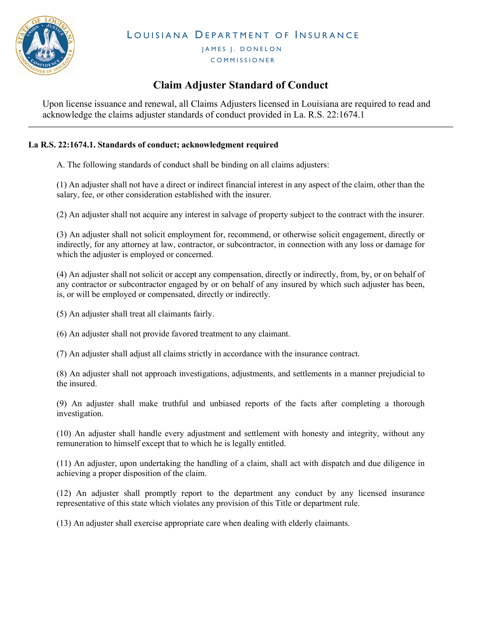

LOUISIANA DEPARTMENT OF INSURANCE

JAMES J. DONELON **COMMISSIONER** 

## Claim Adjuster Standard of Conduct

Upon license issuance and renewal, all Claims Adjusters licensed in Louisiana are required to read and acknowledge the claims adjuster standards of conduct provided in La. R.S. 22:1674.1

## La R.S. 22:1674.1. Standards of conduct; acknowledgment required

A. The following standards of conduct shall be binding on all claims adjusters:

(1) An adjuster shall not have a direct or indirect financial interest in any aspect of the claim, other than the salary, fee, or other consideration established with the insurer.

(2) An adjuster shall not acquire any interest in salvage of property subject to the contract with the insurer.

(3) An adjuster shall not solicit employment for, recommend, or otherwise solicit engagement, directly or indirectly, for any attorney at law, contractor, or subcontractor, in connection with any loss or damage for which the adjuster is employed or concerned.

(4) An adjuster shall not solicit or accept any compensation, directly or indirectly, from, by, or on behalf of any contractor or subcontractor engaged by or on behalf of any insured by which such adjuster has been, is, or will be employed or compensated, directly or indirectly.

(5) An adjuster shall treat all claimants fairly.

(6) An adjuster shall not provide favored treatment to any claimant.

(7) An adjuster shall adjust all claims strictly in accordance with the insurance contract.

(8) An adjuster shall not approach investigations, adjustments, and settlements in a manner prejudicial to the insured.

(9) An adjuster shall make truthful and unbiased reports of the facts after completing a thorough investigation.

(10) An adjuster shall handle every adjustment and settlement with honesty and integrity, without any remuneration to himself except that to which he is legally entitled.

(11) An adjuster, upon undertaking the handling of a claim, shall act with dispatch and due diligence in achieving a proper disposition of the claim.

(12) An adjuster shall promptly report to the department any conduct by any licensed insurance representative of this state which violates any provision of this Title or department rule.

(13) An adjuster shall exercise appropriate care when dealing with elderly claimants.